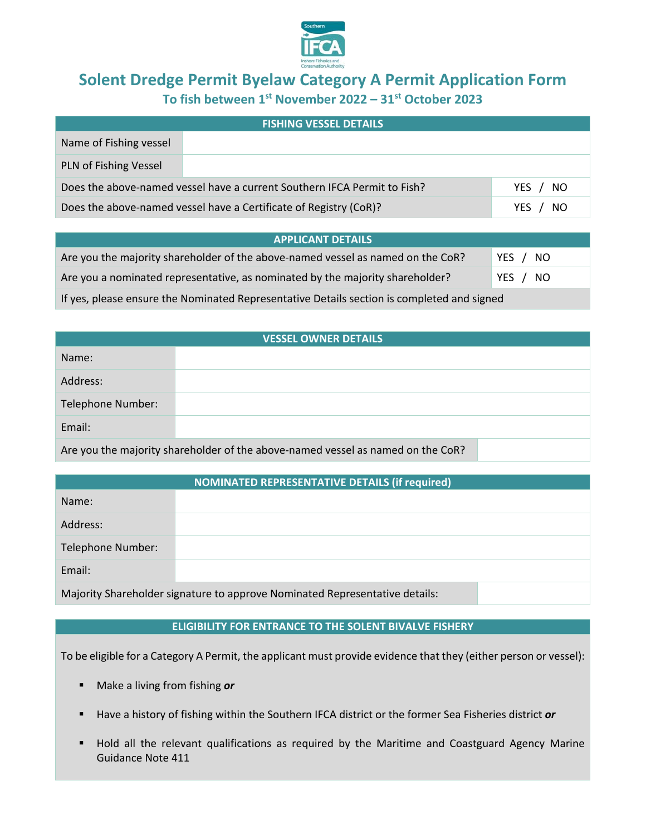

# **Solent Dredge Permit Byelaw Category A Permit Application Form To fish between 1st November 2022 – 31st October 2023**

| <b>FISHING VESSEL DETAILS</b>                                            |  |                   |  |  |
|--------------------------------------------------------------------------|--|-------------------|--|--|
| Name of Fishing vessel                                                   |  |                   |  |  |
| PLN of Fishing Vessel                                                    |  |                   |  |  |
| Does the above-named vessel have a current Southern IFCA Permit to Fish? |  | YES / NO          |  |  |
| Does the above-named vessel have a Certificate of Registry (CoR)?        |  | -NO<br><b>YES</b> |  |  |

| <b>APPLICANT DETAILS</b>                                                                   |          |  |  |  |
|--------------------------------------------------------------------------------------------|----------|--|--|--|
| Are you the majority shareholder of the above-named vessel as named on the CoR?            | YES / NO |  |  |  |
| Are you a nominated representative, as nominated by the majority shareholder?              | YES / NO |  |  |  |
| If yes, please ensure the Nominated Representative Details section is completed and signed |          |  |  |  |

| <b>VESSEL OWNER DETAILS</b>                                                     |  |  |  |  |
|---------------------------------------------------------------------------------|--|--|--|--|
| Name:                                                                           |  |  |  |  |
| Address:                                                                        |  |  |  |  |
| Telephone Number:                                                               |  |  |  |  |
| Email:                                                                          |  |  |  |  |
| Are you the majority shareholder of the above-named vessel as named on the CoR? |  |  |  |  |

| <b>NOMINATED REPRESENTATIVE DETAILS (if required)</b>                       |  |  |  |  |
|-----------------------------------------------------------------------------|--|--|--|--|
| Name:                                                                       |  |  |  |  |
| Address:                                                                    |  |  |  |  |
| Telephone Number:                                                           |  |  |  |  |
| Email:                                                                      |  |  |  |  |
| Majority Shareholder signature to approve Nominated Representative details: |  |  |  |  |

### **ELIGIBILITY FOR ENTRANCE TO THE SOLENT BIVALVE FISHERY**

To be eligible for a Category A Permit, the applicant must provide evidence that they (either person or vessel):

- Make a living from fishing *or*
- Have a history of fishing within the Southern IFCA district or the former Sea Fisheries district *or*
- Hold all the relevant qualifications as required by the Maritime and Coastguard Agency Marine Guidance Note 411